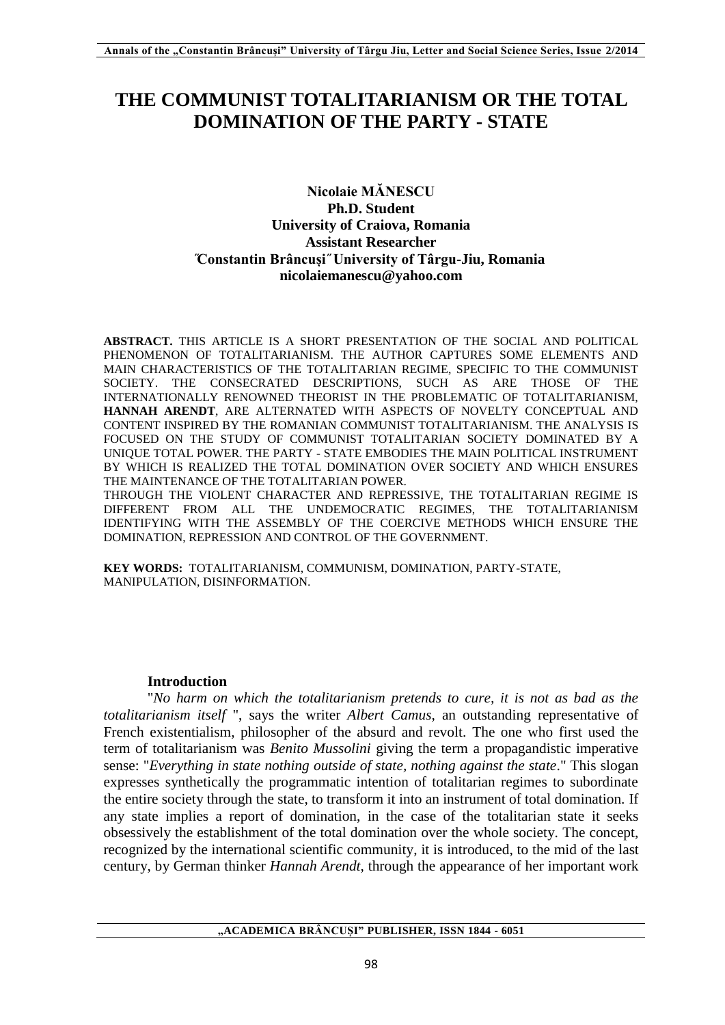# **THE COMMUNIST TOTALITARIANISM OR THE TOTAL DOMINATION OF THE PARTY - STATE**

## **Nicolaie MĂNESCU Ph.D. Student University of Craiova, Romania Assistant Researcher ̋Constantin Brâncuși ̋ University of Târgu-Jiu, Romania nicolaiemanescu@yahoo.com**

**ABSTRACT.** THIS ARTICLE IS A SHORT PRESENTATION OF THE SOCIAL AND POLITICAL PHENOMENON OF TOTALITARIANISM. THE AUTHOR CAPTURES SOME ELEMENTS AND MAIN CHARACTERISTICS OF THE TOTALITARIAN REGIME, SPECIFIC TO THE COMMUNIST SOCIETY. THE CONSECRATED DESCRIPTIONS, SUCH AS ARE THOSE OF THE INTERNATIONALLY RENOWNED THEORIST IN THE PROBLEMATIC OF TOTALITARIANISM, **HANNAH ARENDT**, ARE ALTERNATED WITH ASPECTS OF NOVELTY CONCEPTUAL AND CONTENT INSPIRED BY THE ROMANIAN COMMUNIST TOTALITARIANISM. THE ANALYSIS IS FOCUSED ON THE STUDY OF COMMUNIST TOTALITARIAN SOCIETY DOMINATED BY A UNIQUE TOTAL POWER. THE PARTY - STATE EMBODIES THE MAIN POLITICAL INSTRUMENT BY WHICH IS REALIZED THE TOTAL DOMINATION OVER SOCIETY AND WHICH ENSURES THE MAINTENANCE OF THE TOTALITARIAN POWER.

THROUGH THE VIOLENT CHARACTER AND REPRESSIVE, THE TOTALITARIAN REGIME IS DIFFERENT FROM ALL THE UNDEMOCRATIC REGIMES, THE TOTALITARIANISM IDENTIFYING WITH THE ASSEMBLY OF THE COERCIVE METHODS WHICH ENSURE THE DOMINATION, REPRESSION AND CONTROL OF THE GOVERNMENT.

**KEY WORDS:** TOTALITARIANISM, COMMUNISM, DOMINATION, PARTY-STATE, MANIPULATION, DISINFORMATION.

#### **Introduction**

"*No harm on which the totalitarianism pretends to cure, it is not as bad as the totalitarianism itself* ", says the writer *Albert Camus*, an outstanding representative of French existentialism, philosopher of the absurd and revolt. The one who first used the term of totalitarianism was *Benito Mussolini* giving the term a propagandistic imperative sense: "*Everything in state nothing outside of state, nothing against the state*." This slogan expresses synthetically the programmatic intention of totalitarian regimes to subordinate the entire society through the state, to transform it into an instrument of total domination. If any state implies a report of domination, in the case of the totalitarian state it seeks obsessively the establishment of the total domination over the whole society. The concept, recognized by the international scientific community, it is introduced, to the mid of the last century, by German thinker *Hannah Arendt*, through the appearance of her important work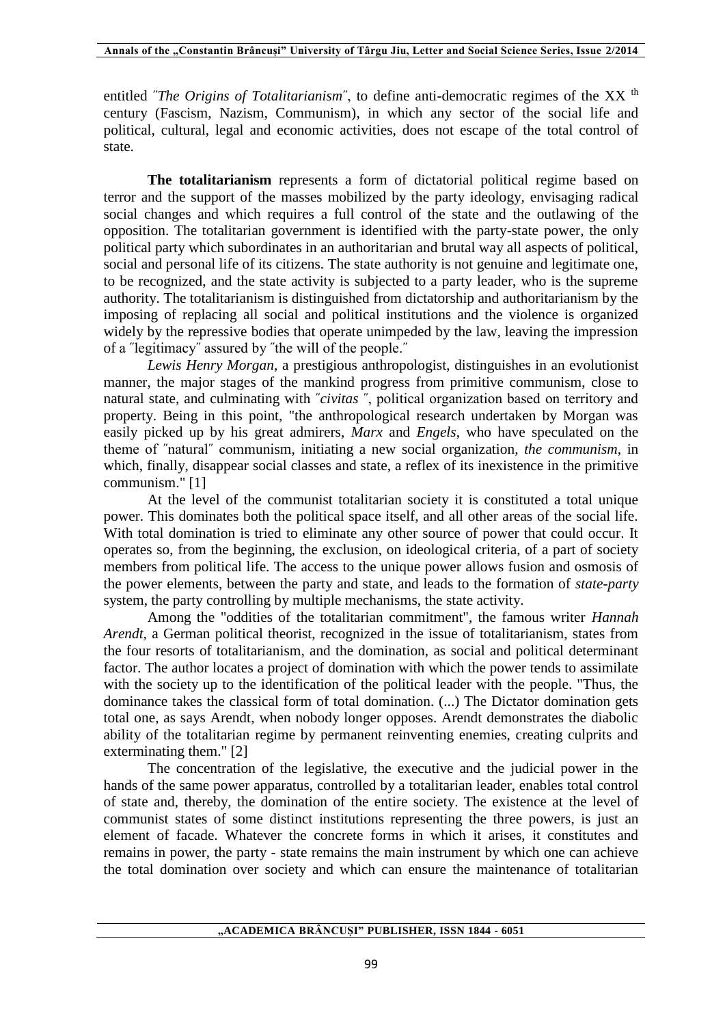entitled *"The Origins of Totalitarianism"*, to define anti-democratic regimes of the XX<sup>th</sup> century (Fascism, Nazism, Communism), in which any sector of the social life and political, cultural, legal and economic activities, does not escape of the total control of state.

**The totalitarianism** represents a form of dictatorial political regime based on terror and the support of the masses mobilized by the party ideology, envisaging radical social changes and which requires a full control of the state and the outlawing of the opposition. The totalitarian government is identified with the party-state power, the only political party which subordinates in an authoritarian and brutal way all aspects of political, social and personal life of its citizens. The state authority is not genuine and legitimate one, to be recognized, and the state activity is subjected to a party leader, who is the supreme authority. The totalitarianism is distinguished from dictatorship and authoritarianism by the imposing of replacing all social and political institutions and the violence is organized widely by the repressive bodies that operate unimpeded by the law, leaving the impression of a ˝legitimacy˝ assured by ˝the will of the people.˝

*Lewis Henry Morgan*, a prestigious anthropologist, distinguishes in an evolutionist manner, the major stages of the mankind progress from primitive communism, close to natural state, and culminating with ˝*civitas* ˝, political organization based on territory and property. Being in this point, "the anthropological research undertaken by Morgan was easily picked up by his great admirers, *Marx* and *Engels*, who have speculated on the theme of ˝natural˝ communism, initiating a new social organization, *the communism*, in which, finally, disappear social classes and state, a reflex of its inexistence in the primitive communism." [1]

At the level of the communist totalitarian society it is constituted a total unique power. This dominates both the political space itself, and all other areas of the social life. With total domination is tried to eliminate any other source of power that could occur. It operates so, from the beginning, the exclusion, on ideological criteria, of a part of society members from political life. The access to the unique power allows fusion and osmosis of the power elements, between the party and state, and leads to the formation of *state-party* system, the party controlling by multiple mechanisms, the state activity.

Among the "oddities of the totalitarian commitment", the famous writer *Hannah Arendt,* a German political theorist, recognized in the issue of totalitarianism, states from the four resorts of totalitarianism, and the domination, as social and political determinant factor. The author locates a project of domination with which the power tends to assimilate with the society up to the identification of the political leader with the people. "Thus, the dominance takes the classical form of total domination. (...) The Dictator domination gets total one, as says Arendt, when nobody longer opposes. Arendt demonstrates the diabolic ability of the totalitarian regime by permanent reinventing enemies, creating culprits and exterminating them." [2]

The concentration of the legislative, the executive and the judicial power in the hands of the same power apparatus, controlled by a totalitarian leader, enables total control of state and, thereby, the domination of the entire society. The existence at the level of communist states of some distinct institutions representing the three powers, is just an element of facade. Whatever the concrete forms in which it arises, it constitutes and remains in power, the party - state remains the main instrument by which one can achieve the total domination over society and which can ensure the maintenance of totalitarian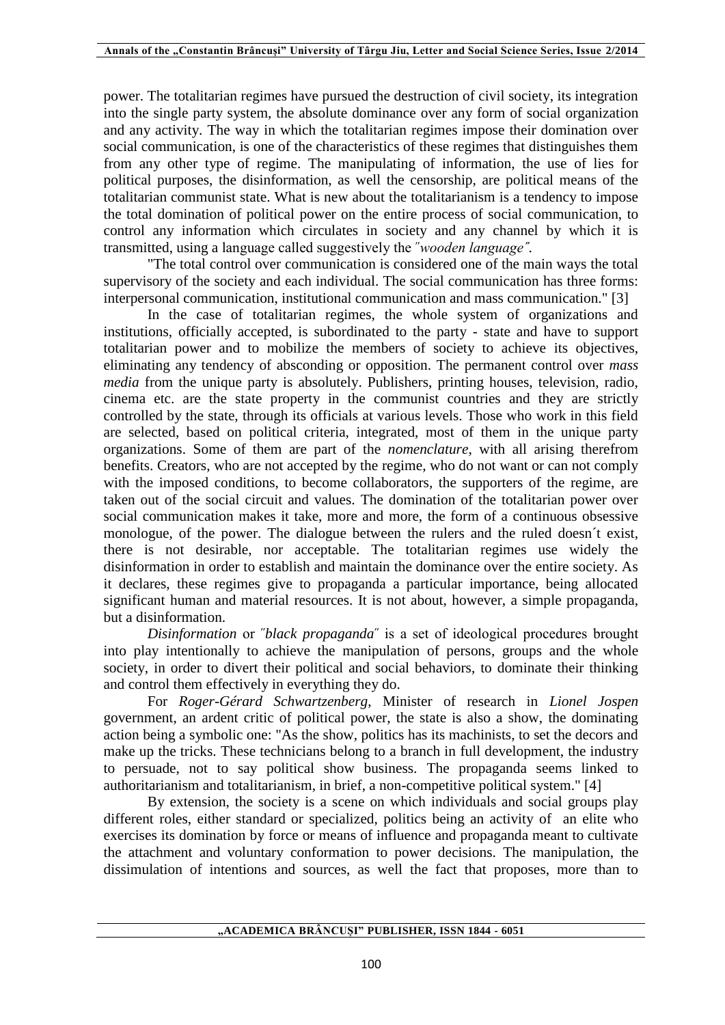power. The totalitarian regimes have pursued the destruction of civil society, its integration into the single party system, the absolute dominance over any form of social organization and any activity. The way in which the totalitarian regimes impose their domination over social communication, is one of the characteristics of these regimes that distinguishes them from any other type of regime. The manipulating of information, the use of lies for political purposes, the disinformation, as well the censorship, are political means of the totalitarian communist state. What is new about the totalitarianism is a tendency to impose the total domination of political power on the entire process of social communication, to control any information which circulates in society and any channel by which it is transmitted, using a language called suggestively the ˝*wooden language˝*.

"The total control over communication is considered one of the main ways the total supervisory of the society and each individual. The social communication has three forms: interpersonal communication, institutional communication and mass communication." [3]

In the case of totalitarian regimes, the whole system of organizations and institutions, officially accepted, is subordinated to the party - state and have to support totalitarian power and to mobilize the members of society to achieve its objectives, eliminating any tendency of absconding or opposition. The permanent control over *mass media* from the unique party is absolutely. Publishers, printing houses, television, radio, cinema etc. are the state property in the communist countries and they are strictly controlled by the state, through its officials at various levels. Those who work in this field are selected, based on political criteria, integrated, most of them in the unique party organizations. Some of them are part of the *nomenclature*, with all arising therefrom benefits. Creators, who are not accepted by the regime, who do not want or can not comply with the imposed conditions, to become collaborators, the supporters of the regime, are taken out of the social circuit and values. The domination of the totalitarian power over social communication makes it take, more and more, the form of a continuous obsessive monologue, of the power. The dialogue between the rulers and the ruled doesn´t exist, there is not desirable, nor acceptable. The totalitarian regimes use widely the disinformation in order to establish and maintain the dominance over the entire society. As it declares, these regimes give to propaganda a particular importance, being allocated significant human and material resources. It is not about, however, a simple propaganda, but a disinformation.

*Disinformation* or ˝*black propaganda*˝ is a set of ideological procedures brought into play intentionally to achieve the manipulation of persons, groups and the whole society, in order to divert their political and social behaviors, to dominate their thinking and control them effectively in everything they do.

For *Roger-Gérard Schwartzenberg*, Minister of research in *Lionel Jospen* government, an ardent critic of political power, the state is also a show, the dominating action being a symbolic one: "As the show, politics has its machinists, to set the decors and make up the tricks. These technicians belong to a branch in full development, the industry to persuade, not to say political show business. The propaganda seems linked to authoritarianism and totalitarianism, in brief, a non-competitive political system." [4]

By extension, the society is a scene on which individuals and social groups play different roles, either standard or specialized, politics being an activity of an elite who exercises its domination by force or means of influence and propaganda meant to cultivate the attachment and voluntary conformation to power decisions. The manipulation, the dissimulation of intentions and sources, as well the fact that proposes, more than to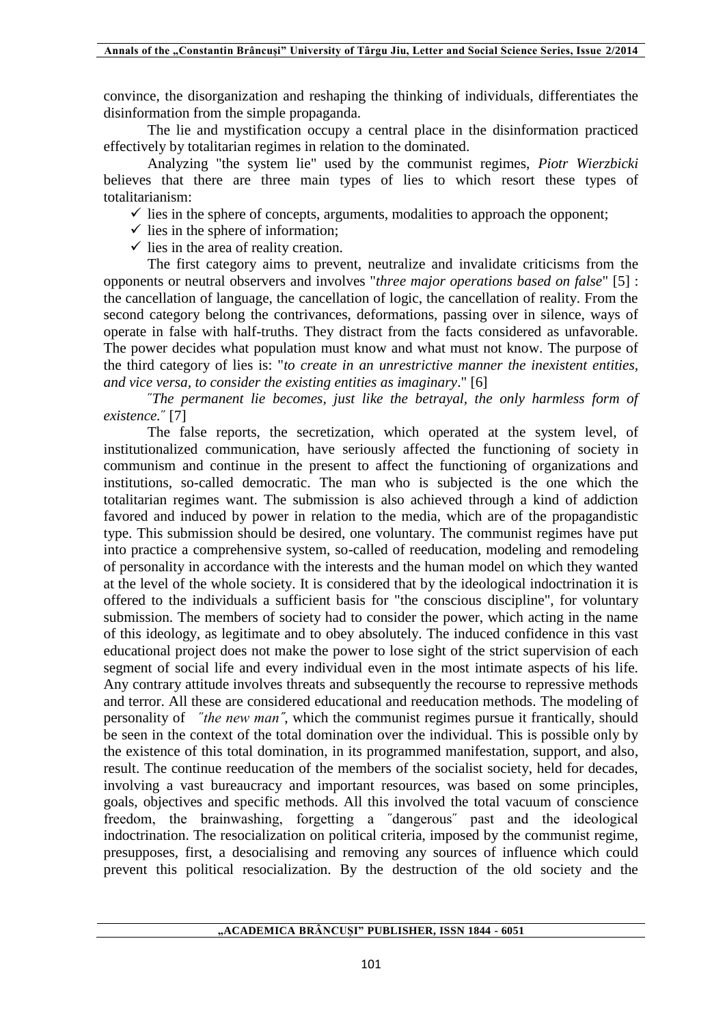convince, the disorganization and reshaping the thinking of individuals, differentiates the disinformation from the simple propaganda.

The lie and mystification occupy a central place in the disinformation practiced effectively by totalitarian regimes in relation to the dominated.

Analyzing "the system lie" used by the communist regimes, *Piotr Wierzbicki* believes that there are three main types of lies to which resort these types of totalitarianism:

 $\checkmark$  lies in the sphere of concepts, arguments, modalities to approach the opponent;

 $\checkmark$  lies in the sphere of information;

 $\checkmark$  lies in the area of reality creation.

The first category aims to prevent, neutralize and invalidate criticisms from the opponents or neutral observers and involves "*three major operations based on false*" [5] : the cancellation of language, the cancellation of logic, the cancellation of reality. From the second category belong the contrivances, deformations, passing over in silence, ways of operate in false with half-truths. They distract from the facts considered as unfavorable. The power decides what population must know and what must not know. The purpose of the third category of lies is: "*to create in an unrestrictive manner the inexistent entities, and vice versa, to consider the existing entities as imaginary*." [6]

˝*The permanent lie becomes, just like the betrayal, the only harmless form of existence.*˝ [7]

The false reports, the secretization, which operated at the system level, of institutionalized communication, have seriously affected the functioning of society in communism and continue in the present to affect the functioning of organizations and institutions, so-called democratic. The man who is subjected is the one which the totalitarian regimes want. The submission is also achieved through a kind of addiction favored and induced by power in relation to the media, which are of the propagandistic type. This submission should be desired, one voluntary. The communist regimes have put into practice a comprehensive system, so-called of reeducation, modeling and remodeling of personality in accordance with the interests and the human model on which they wanted at the level of the whole society. It is considered that by the ideological indoctrination it is offered to the individuals a sufficient basis for "the conscious discipline", for voluntary submission. The members of society had to consider the power, which acting in the name of this ideology, as legitimate and to obey absolutely. The induced confidence in this vast educational project does not make the power to lose sight of the strict supervision of each segment of social life and every individual even in the most intimate aspects of his life. Any contrary attitude involves threats and subsequently the recourse to repressive methods and terror. All these are considered educational and reeducation methods. The modeling of personality of ˝*the new man˝*, which the communist regimes pursue it frantically, should be seen in the context of the total domination over the individual. This is possible only by the existence of this total domination, in its programmed manifestation, support, and also, result. The continue reeducation of the members of the socialist society, held for decades, involving a vast bureaucracy and important resources, was based on some principles, goals, objectives and specific methods. All this involved the total vacuum of conscience freedom, the brainwashing, forgetting a ˝dangerous˝ past and the ideological indoctrination. The resocialization on political criteria, imposed by the communist regime, presupposes, first, a desocialising and removing any sources of influence which could prevent this political resocialization. By the destruction of the old society and the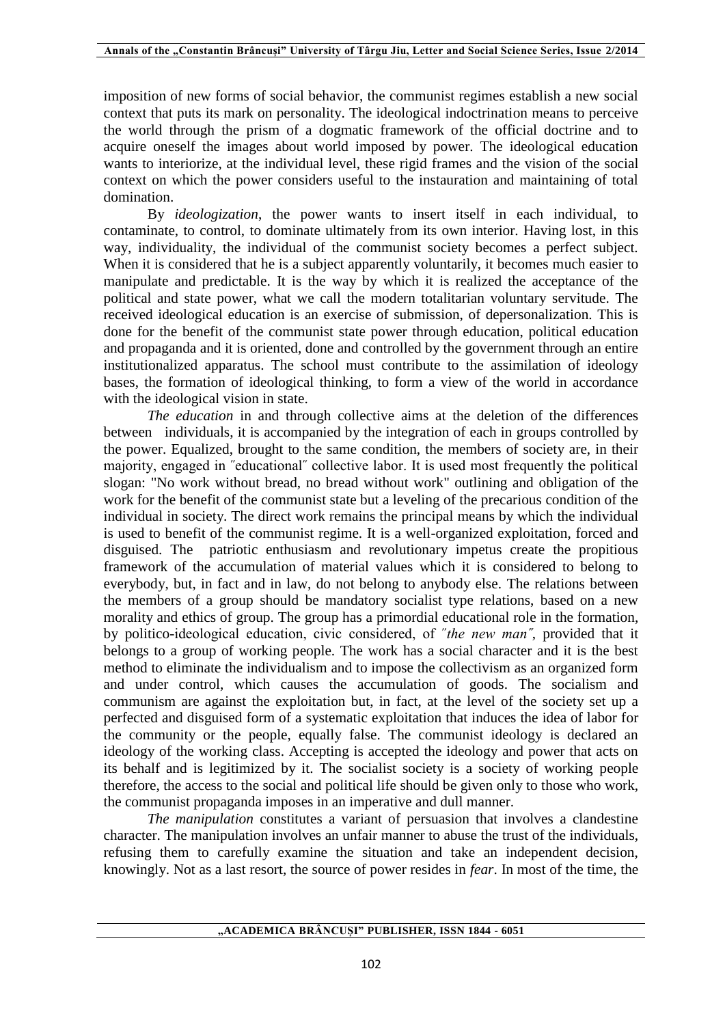imposition of new forms of social behavior, the communist regimes establish a new social context that puts its mark on personality. The ideological indoctrination means to perceive the world through the prism of a dogmatic framework of the official doctrine and to acquire oneself the images about world imposed by power. The ideological education wants to interiorize, at the individual level, these rigid frames and the vision of the social context on which the power considers useful to the instauration and maintaining of total domination.

By *ideologization*, the power wants to insert itself in each individual, to contaminate, to control, to dominate ultimately from its own interior. Having lost, in this way, individuality, the individual of the communist society becomes a perfect subject. When it is considered that he is a subject apparently voluntarily, it becomes much easier to manipulate and predictable. It is the way by which it is realized the acceptance of the political and state power, what we call the modern totalitarian voluntary servitude. The received ideological education is an exercise of submission, of depersonalization. This is done for the benefit of the communist state power through education, political education and propaganda and it is oriented, done and controlled by the government through an entire institutionalized apparatus. The school must contribute to the assimilation of ideology bases, the formation of ideological thinking, to form a view of the world in accordance with the ideological vision in state.

*The education* in and through collective aims at the deletion of the differences between individuals, it is accompanied by the integration of each in groups controlled by the power. Equalized, brought to the same condition, the members of society are, in their majority, engaged in ˝educational˝ collective labor. It is used most frequently the political slogan: "No work without bread, no bread without work" outlining and obligation of the work for the benefit of the communist state but a leveling of the precarious condition of the individual in society. The direct work remains the principal means by which the individual is used to benefit of the communist regime. It is a well-organized exploitation, forced and disguised. The patriotic enthusiasm and revolutionary impetus create the propitious framework of the accumulation of material values which it is considered to belong to everybody, but, in fact and in law, do not belong to anybody else. The relations between the members of a group should be mandatory socialist type relations, based on a new morality and ethics of group. The group has a primordial educational role in the formation, by politico-ideological education, civic considered, of ˝*the new man˝*, provided that it belongs to a group of working people. The work has a social character and it is the best method to eliminate the individualism and to impose the collectivism as an organized form and under control, which causes the accumulation of goods. The socialism and communism are against the exploitation but, in fact, at the level of the society set up a perfected and disguised form of a systematic exploitation that induces the idea of labor for the community or the people, equally false. The communist ideology is declared an ideology of the working class. Accepting is accepted the ideology and power that acts on its behalf and is legitimized by it. The socialist society is a society of working people therefore, the access to the social and political life should be given only to those who work, the communist propaganda imposes in an imperative and dull manner.

*The manipulation* constitutes a variant of persuasion that involves a clandestine character. The manipulation involves an unfair manner to abuse the trust of the individuals, refusing them to carefully examine the situation and take an independent decision, knowingly. Not as a last resort, the source of power resides in *fear*. In most of the time, the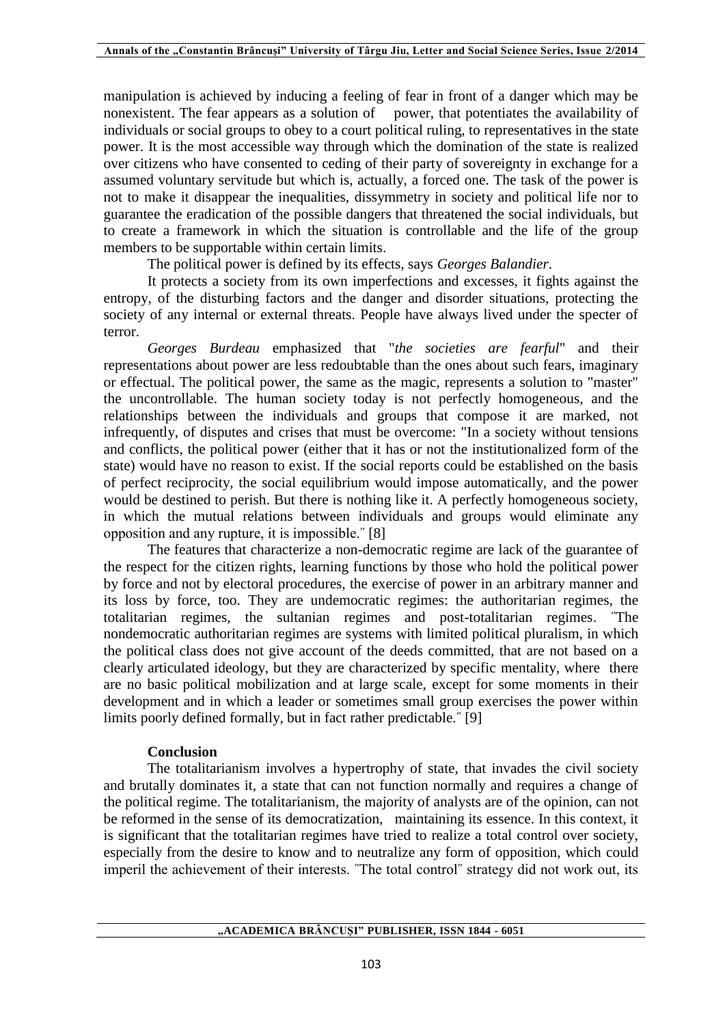manipulation is achieved by inducing a feeling of fear in front of a danger which may be nonexistent. The fear appears as a solution of power, that potentiates the availability of individuals or social groups to obey to a court political ruling, to representatives in the state power. It is the most accessible way through which the domination of the state is realized over citizens who have consented to ceding of their party of sovereignty in exchange for a assumed voluntary servitude but which is, actually, a forced one. The task of the power is not to make it disappear the inequalities, dissymmetry in society and political life nor to guarantee the eradication of the possible dangers that threatened the social individuals, but to create a framework in which the situation is controllable and the life of the group members to be supportable within certain limits.

The political power is defined by its effects, says *Georges Balandier*.

It protects a society from its own imperfections and excesses, it fights against the entropy, of the disturbing factors and the danger and disorder situations, protecting the society of any internal or external threats. People have always lived under the specter of terror.

*Georges Burdeau* emphasized that "*the societies are fearful*" and their representations about power are less redoubtable than the ones about such fears, imaginary or effectual. The political power, the same as the magic, represents a solution to "master" the uncontrollable. The human society today is not perfectly homogeneous, and the relationships between the individuals and groups that compose it are marked, not infrequently, of disputes and crises that must be overcome: "In a society without tensions and conflicts, the political power (either that it has or not the institutionalized form of the state) would have no reason to exist. If the social reports could be established on the basis of perfect reciprocity, the social equilibrium would impose automatically, and the power would be destined to perish. But there is nothing like it. A perfectly homogeneous society, in which the mutual relations between individuals and groups would eliminate any opposition and any rupture, it is impossible.˝ [8]

The features that characterize a non-democratic regime are lack of the guarantee of the respect for the citizen rights, learning functions by those who hold the political power by force and not by electoral procedures, the exercise of power in an arbitrary manner and its loss by force, too. They are undemocratic regimes: the authoritarian regimes, the totalitarian regimes, the sultanian regimes and post-totalitarian regimes. ˝The nondemocratic authoritarian regimes are systems with limited political pluralism, in which the political class does not give account of the deeds committed, that are not based on a clearly articulated ideology, but they are characterized by specific mentality, where there are no basic political mobilization and at large scale, except for some moments in their development and in which a leader or sometimes small group exercises the power within limits poorly defined formally, but in fact rather predictable.˝ [9]

#### **Conclusion**

The totalitarianism involves a hypertrophy of state, that invades the civil society and brutally dominates it, a state that can not function normally and requires a change of the political regime. The totalitarianism, the majority of analysts are of the opinion, can not be reformed in the sense of its democratization, maintaining its essence. In this context, it is significant that the totalitarian regimes have tried to realize a total control over society, especially from the desire to know and to neutralize any form of opposition, which could imperil the achievement of their interests. "The total control" strategy did not work out, its